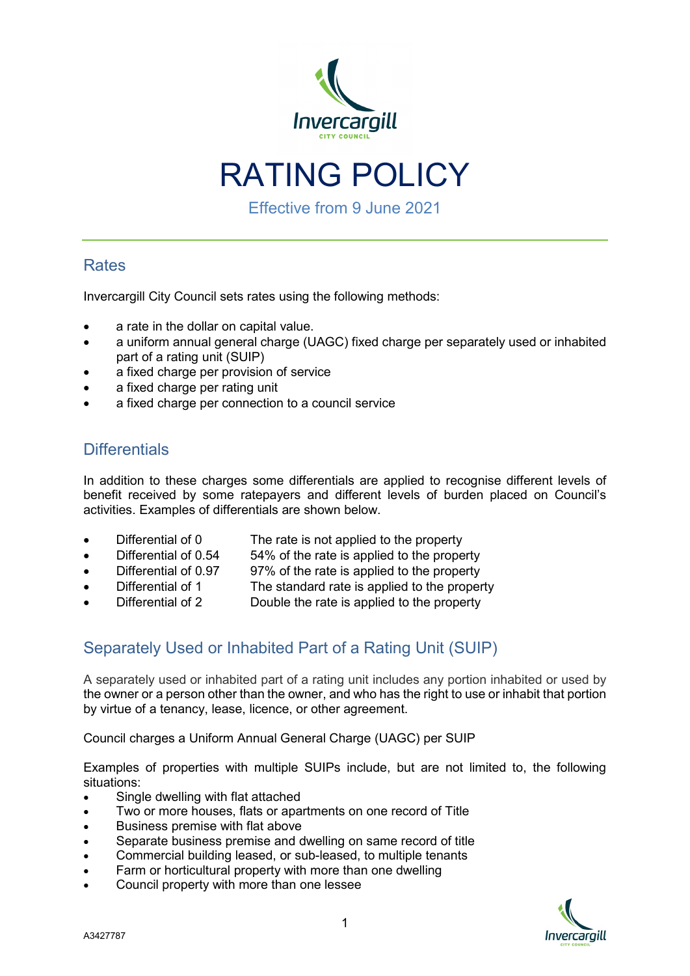

RATING POLICY

Effective from 9 June 2021

# **Rates**

Invercargill City Council sets rates using the following methods:

- a rate in the dollar on capital value.
- a uniform annual general charge (UAGC) fixed charge per separately used or inhabited part of a rating unit (SUIP)
- a fixed charge per provision of service
- a fixed charge per rating unit
- a fixed charge per connection to a council service

### **Differentials**

In addition to these charges some differentials are applied to recognise different levels of benefit received by some ratepayers and different levels of burden placed on Council's activities. Examples of differentials are shown below.

- - Differential of 0 The rate is not applied to the property
	- Differential of 0.54 54% of the rate is applied to the property
		- Differential of 0.97 97% of the rate is applied to the property
- Differential of 1 The standard rate is applied to the property
- Differential of 2 Double the rate is applied to the property

# Separately Used or Inhabited Part of a Rating Unit (SUIP)

A separately used or inhabited part of a rating unit includes any portion inhabited or used by the owner or a person other than the owner, and who has the right to use or inhabit that portion by virtue of a tenancy, lease, licence, or other agreement.

Council charges a Uniform Annual General Charge (UAGC) per SUIP

Examples of properties with multiple SUIPs include, but are not limited to, the following situations:

- Single dwelling with flat attached
- Two or more houses, flats or apartments on one record of Title
- Business premise with flat above
- Separate business premise and dwelling on same record of title
- Commercial building leased, or sub-leased, to multiple tenants
- Farm or horticultural property with more than one dwelling
- Council property with more than one lessee

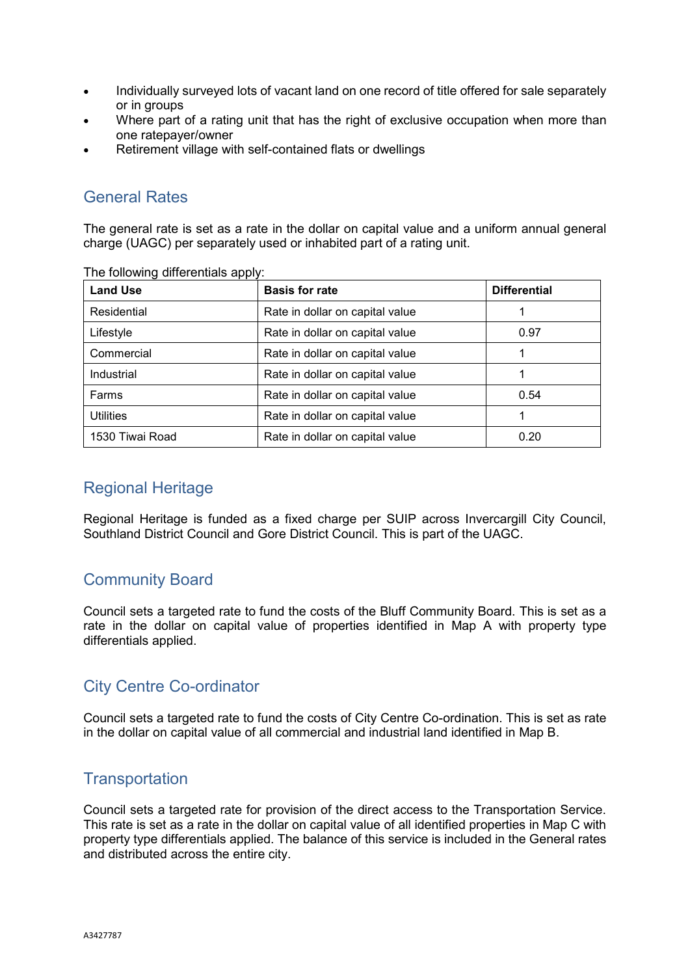- Individually surveyed lots of vacant land on one record of title offered for sale separately or in groups
- Where part of a rating unit that has the right of exclusive occupation when more than one ratepayer/owner
- Retirement village with self-contained flats or dwellings

# General Rates

The general rate is set as a rate in the dollar on capital value and a uniform annual general charge (UAGC) per separately used or inhabited part of a rating unit.

| <b>Land Use</b>  | <b>Basis for rate</b><br><b>Differential</b> |      |  |
|------------------|----------------------------------------------|------|--|
| Residential      | Rate in dollar on capital value              |      |  |
| Lifestyle        | Rate in dollar on capital value<br>0.97      |      |  |
| Commercial       | Rate in dollar on capital value              |      |  |
| Industrial       | Rate in dollar on capital value              |      |  |
| Farms            | Rate in dollar on capital value<br>0.54      |      |  |
| <b>Utilities</b> | Rate in dollar on capital value              |      |  |
| 1530 Tiwai Road  | Rate in dollar on capital value              | 0.20 |  |

The following differentials apply:

#### Regional Heritage

Regional Heritage is funded as a fixed charge per SUIP across Invercargill City Council, Southland District Council and Gore District Council. This is part of the UAGC.

# Community Board

Council sets a targeted rate to fund the costs of the Bluff Community Board. This is set as a rate in the dollar on capital value of properties identified in Map A with property type differentials applied.

# City Centre Co-ordinator

Council sets a targeted rate to fund the costs of City Centre Co-ordination. This is set as rate in the dollar on capital value of all commercial and industrial land identified in Map B.

#### **Transportation**

Council sets a targeted rate for provision of the direct access to the Transportation Service. This rate is set as a rate in the dollar on capital value of all identified properties in Map C with property type differentials applied. The balance of this service is included in the General rates and distributed across the entire city.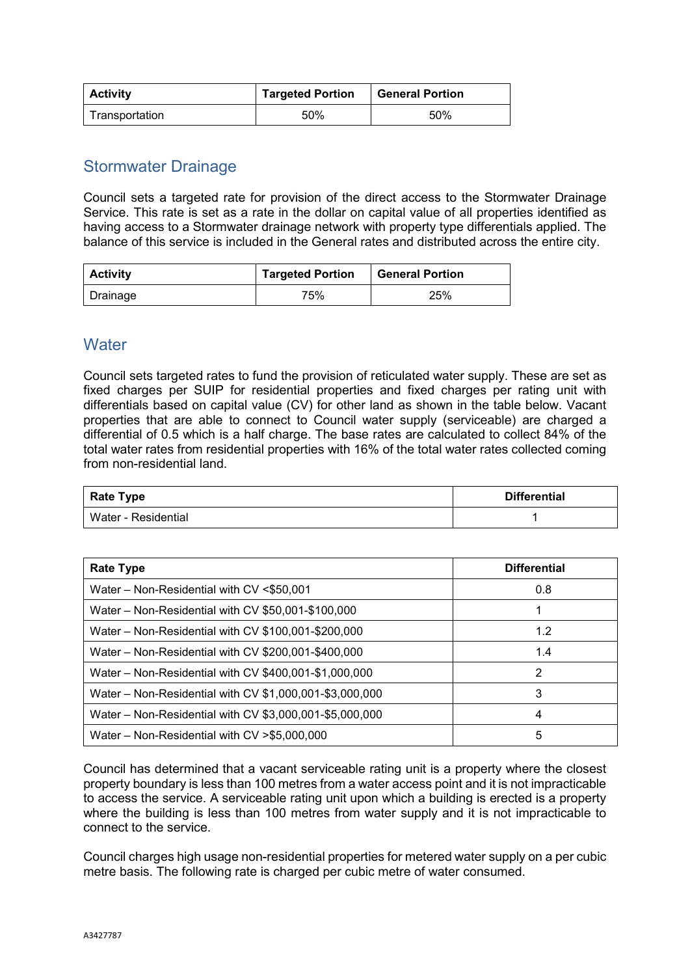| <b>Activity</b> | <b>Targeted Portion</b> | <b>General Portion</b> |
|-----------------|-------------------------|------------------------|
| Transportation  | 50%                     | 50%                    |

#### Stormwater Drainage

Council sets a targeted rate for provision of the direct access to the Stormwater Drainage Service. This rate is set as a rate in the dollar on capital value of all properties identified as having access to a Stormwater drainage network with property type differentials applied. The balance of this service is included in the General rates and distributed across the entire city.

| <b>Activity</b> | <b>Targeted Portion</b> | <b>General Portion</b> |
|-----------------|-------------------------|------------------------|
| Drainage        | 75%                     | 25%                    |

#### **Water**

Council sets targeted rates to fund the provision of reticulated water supply. These are set as fixed charges per SUIP for residential properties and fixed charges per rating unit with differentials based on capital value (CV) for other land as shown in the table below. Vacant properties that are able to connect to Council water supply (serviceable) are charged a differential of 0.5 which is a half charge. The base rates are calculated to collect 84% of the total water rates from residential properties with 16% of the total water rates collected coming from non-residential land.

| <b>Rate Type</b>    | <b>Differential</b> |
|---------------------|---------------------|
| Water - Residential |                     |

| Rate Type                                               | <b>Differential</b> |
|---------------------------------------------------------|---------------------|
| Water - Non-Residential with CV <\$50,001               | 0.8                 |
| Water - Non-Residential with CV \$50,001-\$100,000      |                     |
| Water – Non-Residential with CV $$100,001$ -\$200,000   | 1.2                 |
| Water – Non-Residential with CV \$200,001-\$400,000     | 1.4                 |
| Water - Non-Residential with CV \$400,001-\$1,000,000   | 2                   |
| Water - Non-Residential with CV \$1,000,001-\$3,000,000 | 3                   |
| Water - Non-Residential with CV \$3,000,001-\$5,000,000 | 4                   |
| Water – Non-Residential with $CV > $5,000,000$          | 5                   |

Council has determined that a vacant serviceable rating unit is a property where the closest property boundary is less than 100 metres from a water access point and it is not impracticable to access the service. A serviceable rating unit upon which a building is erected is a property where the building is less than 100 metres from water supply and it is not impracticable to connect to the service.

Council charges high usage non-residential properties for metered water supply on a per cubic metre basis. The following rate is charged per cubic metre of water consumed.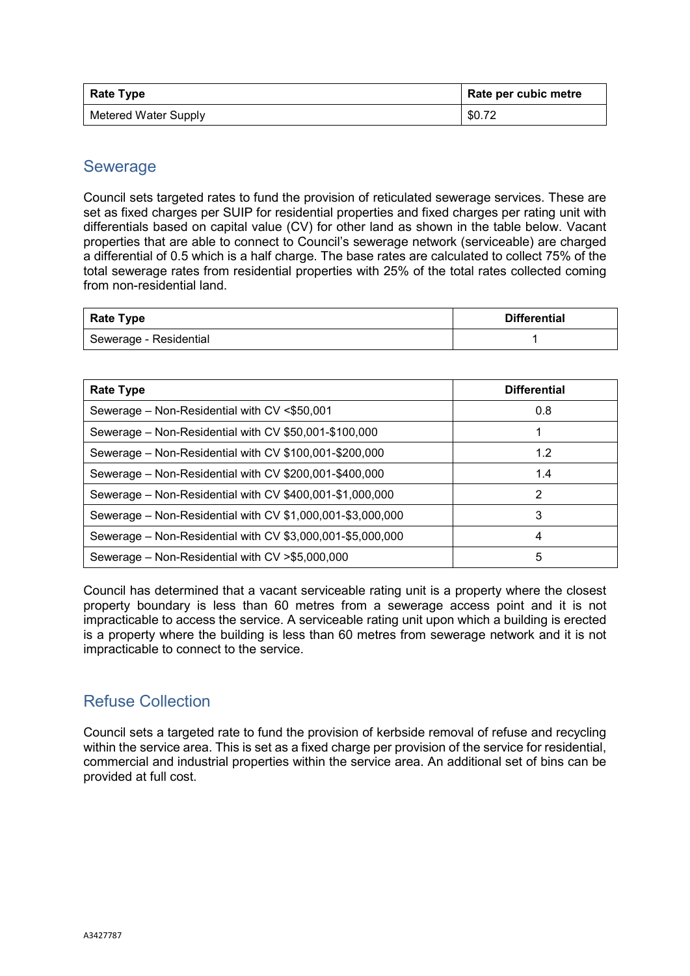| Rate Type                   | Rate per cubic metre |
|-----------------------------|----------------------|
| <b>Metered Water Supply</b> | \$0.72               |

#### Sewerage

Council sets targeted rates to fund the provision of reticulated sewerage services. These are set as fixed charges per SUIP for residential properties and fixed charges per rating unit with differentials based on capital value (CV) for other land as shown in the table below. Vacant properties that are able to connect to Council's sewerage network (serviceable) are charged a differential of 0.5 which is a half charge. The base rates are calculated to collect 75% of the total sewerage rates from residential properties with 25% of the total rates collected coming from non-residential land.

| <b>Rate Type</b>       | <b>Differential</b> |
|------------------------|---------------------|
| Sewerage - Residential |                     |

| <b>Rate Type</b>                                           | <b>Differential</b> |  |
|------------------------------------------------------------|---------------------|--|
| Sewerage - Non-Residential with CV <\$50,001               | 0.8                 |  |
| Sewerage – Non-Residential with CV \$50,001-\$100,000      |                     |  |
| Sewerage - Non-Residential with CV \$100,001-\$200,000     | 1.2                 |  |
| Sewerage - Non-Residential with CV \$200,001-\$400,000     | 1.4                 |  |
| Sewerage – Non-Residential with CV \$400,001-\$1,000,000   | 2                   |  |
| Sewerage - Non-Residential with CV \$1,000,001-\$3,000,000 | 3                   |  |
| Sewerage – Non-Residential with CV \$3,000,001-\$5,000,000 | 4                   |  |
| Sewerage – Non-Residential with CV > \$5,000,000           | 5                   |  |

Council has determined that a vacant serviceable rating unit is a property where the closest property boundary is less than 60 metres from a sewerage access point and it is not impracticable to access the service. A serviceable rating unit upon which a building is erected is a property where the building is less than 60 metres from sewerage network and it is not impracticable to connect to the service.

#### Refuse Collection

Council sets a targeted rate to fund the provision of kerbside removal of refuse and recycling within the service area. This is set as a fixed charge per provision of the service for residential, commercial and industrial properties within the service area. An additional set of bins can be provided at full cost.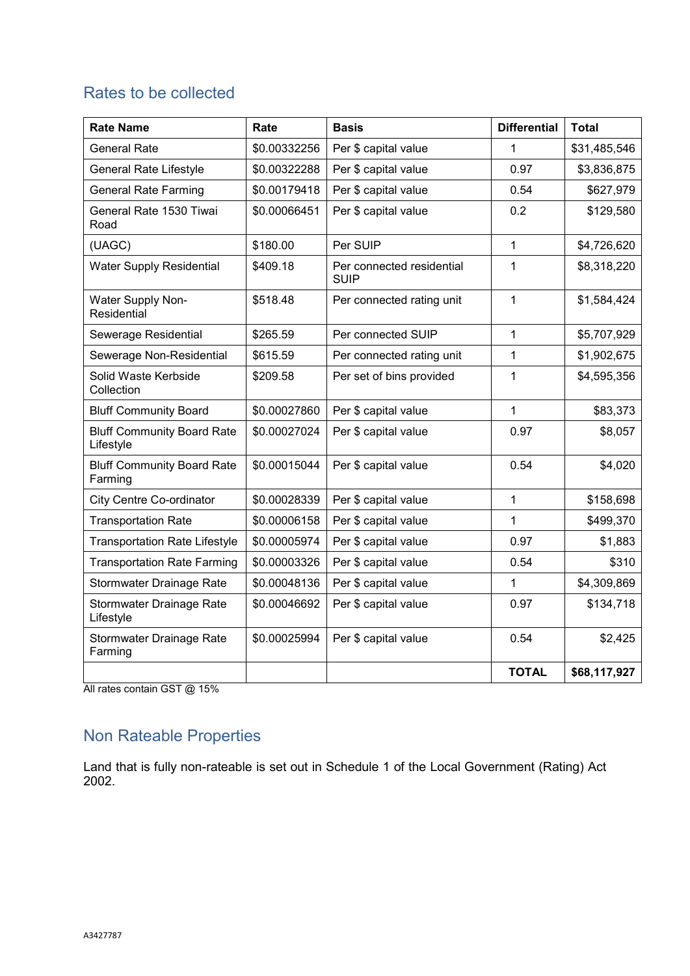# Rates to be collected

| <b>Rate Name</b>                               | Rate         | <b>Basis</b>                             | <b>Differential</b> | <b>Total</b> |
|------------------------------------------------|--------------|------------------------------------------|---------------------|--------------|
| <b>General Rate</b>                            | \$0.00332256 | Per \$ capital value                     | 1                   | \$31,485,546 |
| <b>General Rate Lifestyle</b>                  | \$0.00322288 | Per \$ capital value                     | 0.97                | \$3,836,875  |
| <b>General Rate Farming</b>                    | \$0.00179418 | Per \$ capital value                     | 0.54                | \$627,979    |
| General Rate 1530 Tiwai<br>Road                | \$0.00066451 | Per \$ capital value                     | 0.2                 | \$129,580    |
| (UAGC)                                         | \$180.00     | Per SUIP                                 | $\mathbf{1}$        | \$4,726,620  |
| <b>Water Supply Residential</b>                | \$409.18     | Per connected residential<br><b>SUIP</b> | $\mathbf{1}$        | \$8,318,220  |
| Water Supply Non-<br>Residential               | \$518.48     | Per connected rating unit                | $\mathbf{1}$        | \$1,584,424  |
| Sewerage Residential                           | \$265.59     | Per connected SUIP                       | $\mathbf{1}$        | \$5,707,929  |
| Sewerage Non-Residential                       | \$615.59     | Per connected rating unit                | $\mathbf{1}$        | \$1,902,675  |
| Solid Waste Kerbside<br>Collection             | \$209.58     | Per set of bins provided                 | $\mathbf{1}$        | \$4,595,356  |
| <b>Bluff Community Board</b>                   | \$0.00027860 | Per \$ capital value                     | $\mathbf{1}$        | \$83,373     |
| <b>Bluff Community Board Rate</b><br>Lifestyle | \$0.00027024 | Per \$ capital value                     | 0.97                | \$8,057      |
| <b>Bluff Community Board Rate</b><br>Farming   | \$0.00015044 | Per \$ capital value                     | 0.54                | \$4,020      |
| <b>City Centre Co-ordinator</b>                | \$0.00028339 | Per \$ capital value                     | $\mathbf{1}$        | \$158,698    |
| <b>Transportation Rate</b>                     | \$0.00006158 | Per \$ capital value                     | $\mathbf{1}$        | \$499,370    |
| <b>Transportation Rate Lifestyle</b>           | \$0.00005974 | Per \$ capital value                     | 0.97                | \$1,883      |
| <b>Transportation Rate Farming</b>             | \$0.00003326 | Per \$ capital value                     | 0.54                | \$310        |
| Stormwater Drainage Rate                       | \$0.00048136 | Per \$ capital value                     | 1                   | \$4,309,869  |
| Stormwater Drainage Rate<br>Lifestyle          | \$0.00046692 | Per \$ capital value                     | 0.97                | \$134,718    |
| Stormwater Drainage Rate<br>Farming            | \$0.00025994 | Per \$ capital value                     | 0.54                | \$2,425      |
|                                                |              |                                          | <b>TOTAL</b>        | \$68,117,927 |

All rates contain GST @ 15%

# Non Rateable Properties

Land that is fully non-rateable is set out in Schedule 1 of the Local Government (Rating) Act 2002.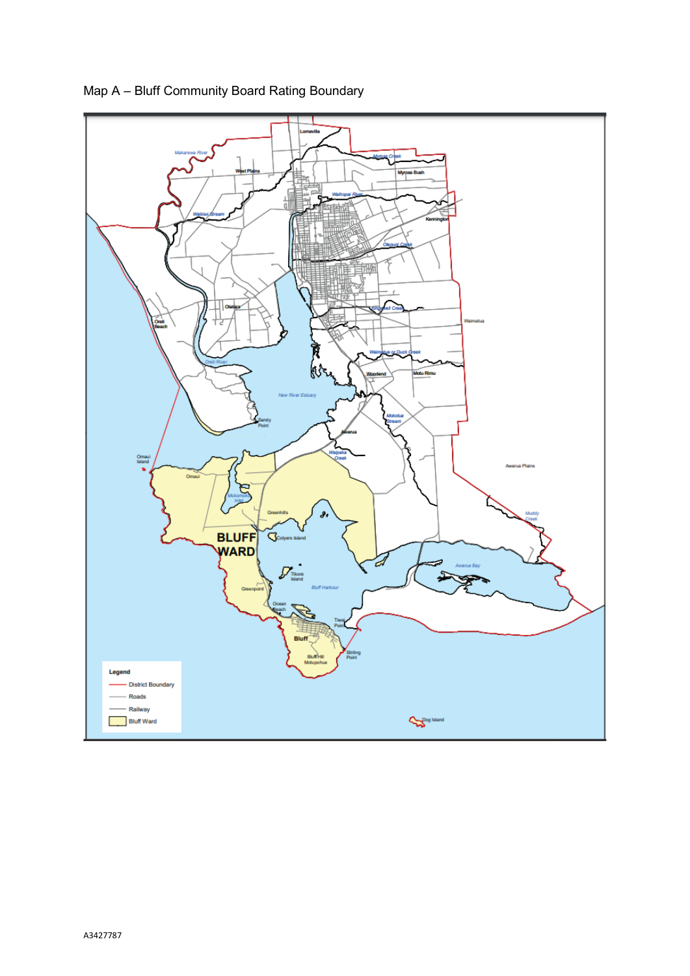

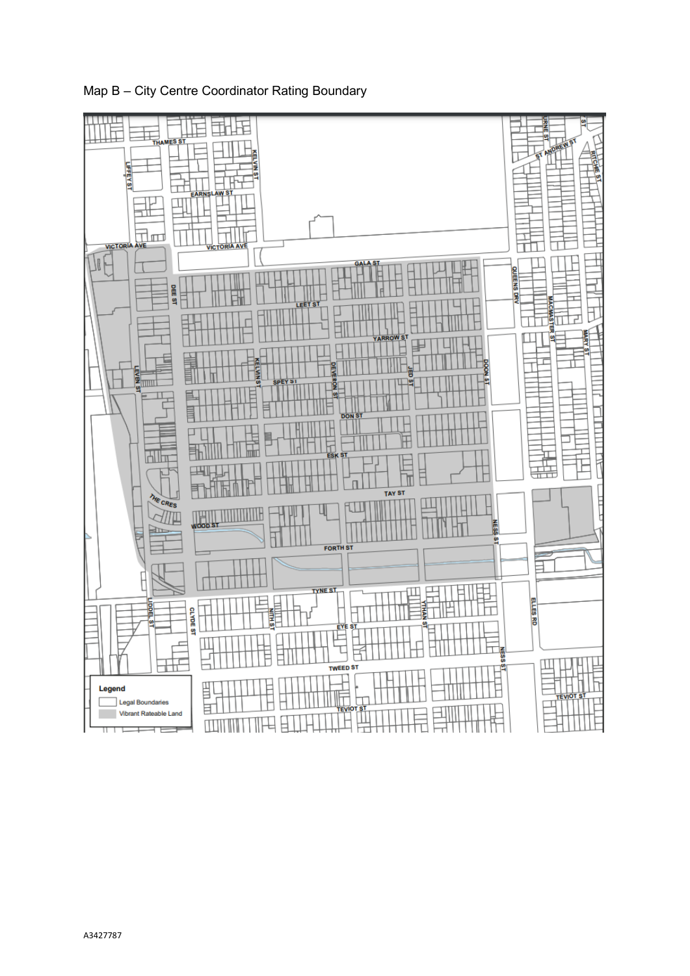

Map B – City Centre Coordinator Rating Boundary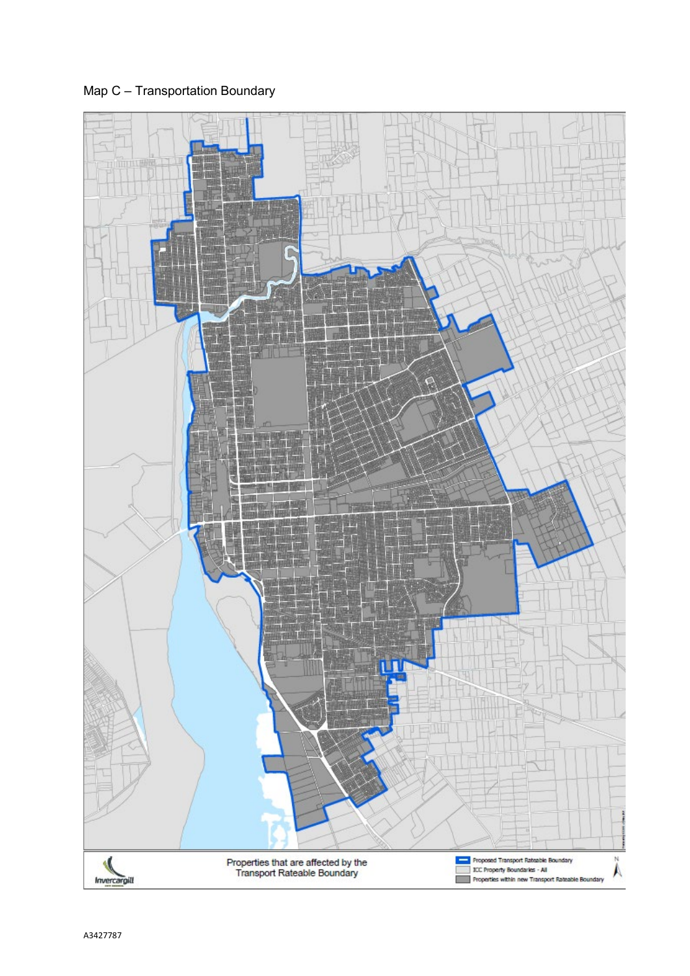Map C – Transportation Boundary